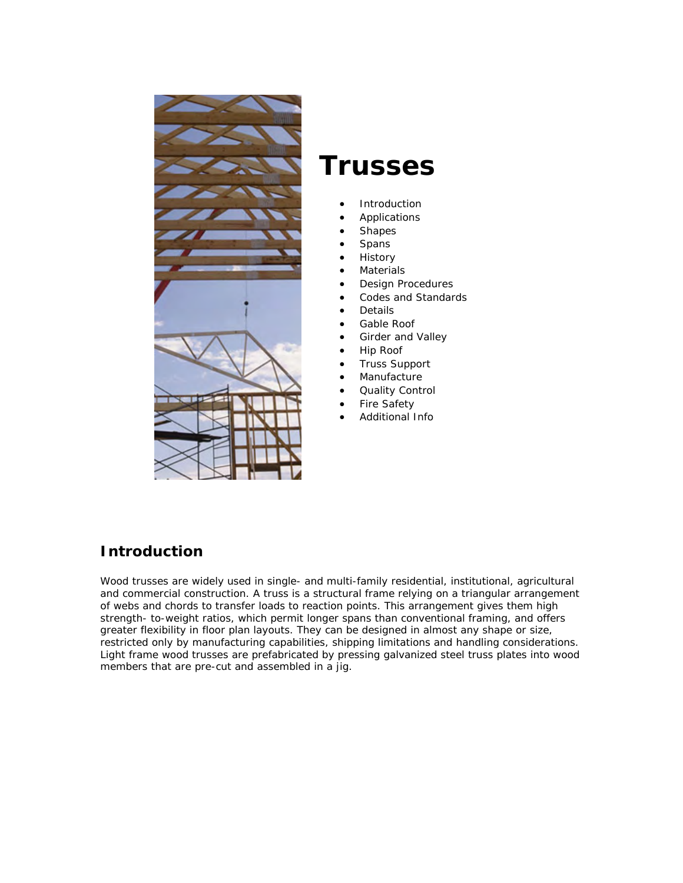

# **Trusses**

- **[Introduction](http://www.cwc.ca/products/trusses/introduction.php)**
- [Applications](http://www.cwc.ca/products/trusses/applications.php)
- **[Shapes](http://www.cwc.ca/products/trusses/shapes.php)**
- **[Spans](http://www.cwc.ca/products/trusses/spans.php)**
- **History**
- **[Materials](http://www.cwc.ca/products/trusses/materials.php)**
- [Design Procedures](http://www.cwc.ca/products/trusses/design_procedures.php)
- [Codes and Standards](http://www.cwc.ca/products/trusses/codes.php)
- [Details](http://www.cwc.ca/products/trusses/details.php)
- [Gable Roof](http://www.cwc.ca/products/trusses/gable_system.php)
- [Girder and Valley](http://www.cwc.ca/products/trusses/girder_system.php)
- [Hip Roof](http://www.cwc.ca/products/trusses/hip_system.php)
- [Truss Support](http://www.cwc.ca/products/trusses/support.php)
- **Manufacture**
- [Quality Control](http://www.cwc.ca/products/trusses/quality.php)
- [Fire Safety](http://www.cwc.ca/products/trusses/fire_safety.php)
- [Additional Info](http://www.cwc.ca/products/trusses/other.php)

## **Introduction**

Wood trusses are widely used in single- and multi-family residential, institutional, agricultural and commercial construction. A truss is a structural frame relying on a triangular arrangement of webs and chords to transfer loads to reaction points. This arrangement gives them high strength- to-weight ratios, which permit longer spans than conventional framing, and offers greater flexibility in floor plan layouts. They can be designed in almost any shape or size, restricted only by manufacturing capabilities, shipping limitations and handling considerations. Light frame wood trusses are prefabricated by pressing galvanized steel truss plates into wood members that are pre-cut and assembled in a jig.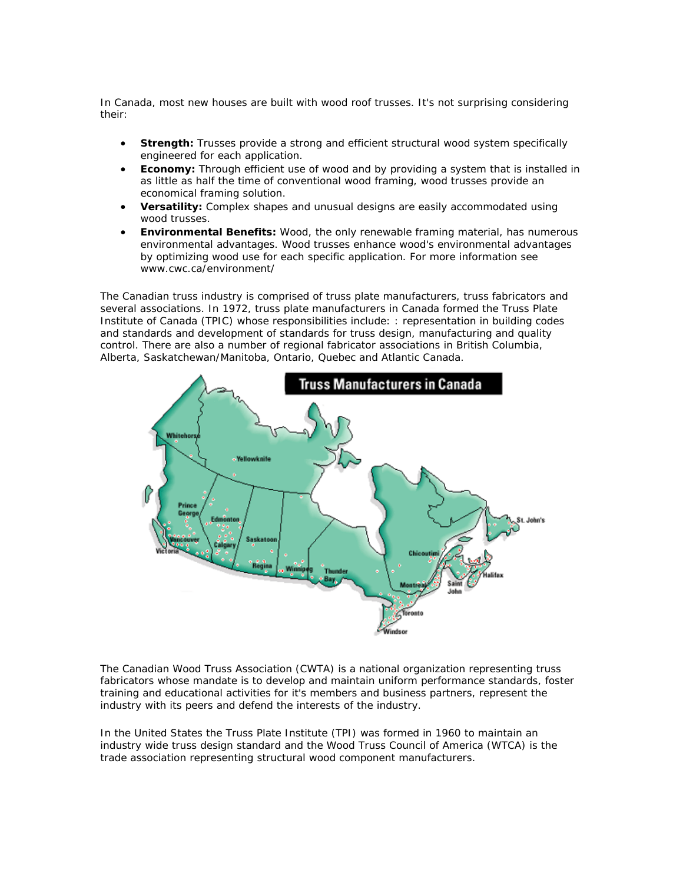In Canada, most new houses are built with wood roof trusses. It's not surprising considering their:

- **Strength:** Trusses provide a strong and efficient structural wood system specifically engineered for each application.
- **Economy:** Through efficient use of wood and by providing a system that is installed in as little as half the time of conventional wood framing, wood trusses provide an economical framing solution.
- **Versatility:** Complex shapes and unusual designs are easily accommodated using wood trusses.
- **Environmental Benefits:** Wood, the only renewable framing material, has numerous environmental advantages. Wood trusses enhance wood's environmental advantages by optimizing wood use for each specific application. [For more information see](http://www.cwc.ca/environment/index.php)  [www.cwc.ca/environment/](http://www.cwc.ca/environment/index.php)

The Canadian truss industry is comprised of truss plate manufacturers, truss fabricators and several associations. In 1972, truss plate manufacturers in Canada formed the [Truss Plate](http://www.tpic.ca/)  [Institute of Canada](http://www.tpic.ca/) (TPIC) whose responsibilities include: : representation in building codes and standards and development of standards for truss design, manufacturing and quality control. There are also a number of regional fabricator associations in British Columbia, Alberta, Saskatchewan/Manitoba, Ontario, Quebec and Atlantic Canada.



The [Canadian Wood Truss Association](http://www.cwta.net/) (CWTA) is a national organization representing truss fabricators whose mandate is to develop and maintain uniform performance standards, foster training and educational activities for it's members and business partners, represent the industry with its peers and defend the interests of the industry.

In the United States the [Truss Plate Institute](http://www.tpinst.org/) (TPI) was formed in 1960 to maintain an industry wide truss design standard and the [Wood Truss Council of America](http://www.woodtruss.com/index.php) (WTCA) is the trade association representing structural wood component manufacturers.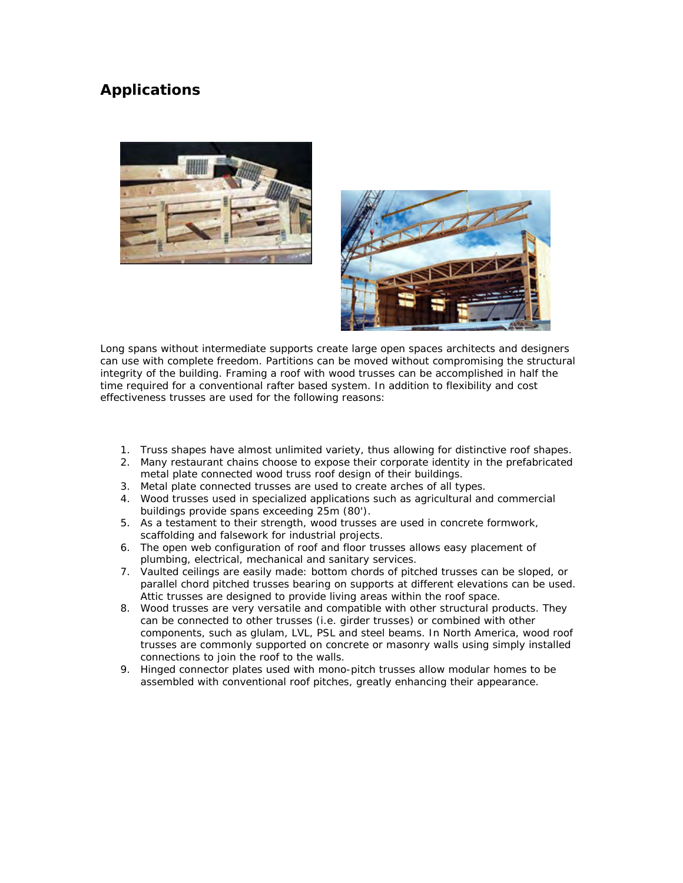#### **Applications**





Long spans without intermediate supports create large open spaces architects and designers can use with complete freedom. Partitions can be moved without compromising the structural integrity of the building. Framing a roof with wood trusses can be accomplished in half the time required for a conventional rafter based system. In addition to flexibility and cost effectiveness trusses are used for the following reasons:

- 1. Truss shapes have almost unlimited variety, thus allowing for distinctive roof shapes.
- 2. Many restaurant chains choose to expose their corporate identity in the prefabricated metal plate connected wood truss roof design of their buildings.
- 3. Metal plate connected trusses are used to create arches of all types.
- 4. Wood trusses used in specialized applications such as agricultural and commercial buildings provide spans exceeding 25m (80').
- 5. As a testament to their strength, wood trusses are used in concrete formwork, scaffolding and falsework for industrial projects.
- 6. The open web configuration of roof and floor trusses allows easy placement of plumbing, electrical, mechanical and sanitary services.
- 7. Vaulted ceilings are easily made: bottom chords of pitched trusses can be sloped, or parallel chord pitched trusses bearing on supports at different elevations can be used. Attic trusses are designed to provide living areas within the roof space.
- 8. Wood trusses are very versatile and compatible with other structural products. They can be connected to other trusses (i.e. girder trusses) or combined with other components, such as glulam, LVL, PSL and steel beams. In North America, wood roof trusses are commonly supported on concrete or masonry walls using simply installed connections to join the roof to the walls.
- 9. Hinged connector plates used with mono-pitch trusses allow modular homes to be assembled with conventional roof pitches, greatly enhancing their appearance.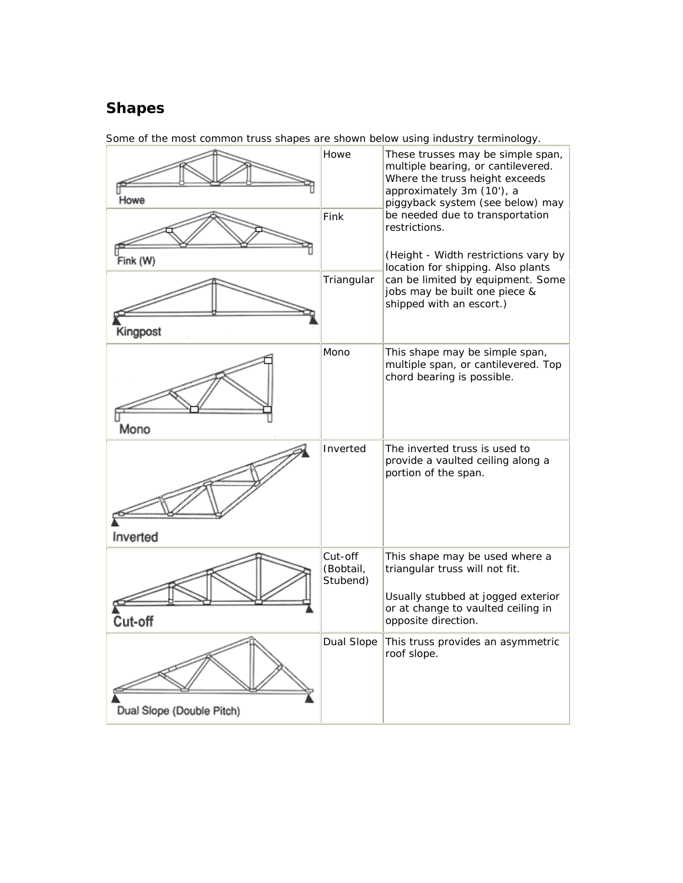# **Shapes**

| Howe                      | Howe                             | These trusses may be simple span,<br>multiple bearing, or cantilevered.<br>Where the truss height exceeds<br>approximately 3m (10'), a<br>piggyback system (see below) may |
|---------------------------|----------------------------------|----------------------------------------------------------------------------------------------------------------------------------------------------------------------------|
| Fink (W)                  | Fink                             | be needed due to transportation<br>restrictions.<br>(Height - Width restrictions vary by<br>location for shipping. Also plants                                             |
| Kingpost                  | Triangular                       | can be limited by equipment. Some<br>jobs may be built one piece &<br>shipped with an escort.)                                                                             |
| Mono                      | Mono                             | This shape may be simple span,<br>multiple span, or cantilevered. Top<br>chord bearing is possible.                                                                        |
| Inverted                  | Inverted                         | The inverted truss is used to<br>provide a vaulted ceiling along a<br>portion of the span.                                                                                 |
| Cut-off                   | Cut-off<br>(Bobtail,<br>Stubend) | This shape may be used where a<br>triangular truss will not fit.<br>Usually stubbed at jogged exterior<br>or at change to vaulted ceiling in<br>opposite direction.        |
| Dual Slope (Double Pitch) | Dual Slope                       | This truss provides an asymmetric<br>roof slope.                                                                                                                           |

Some of the most common truss shapes are shown below using industry terminology.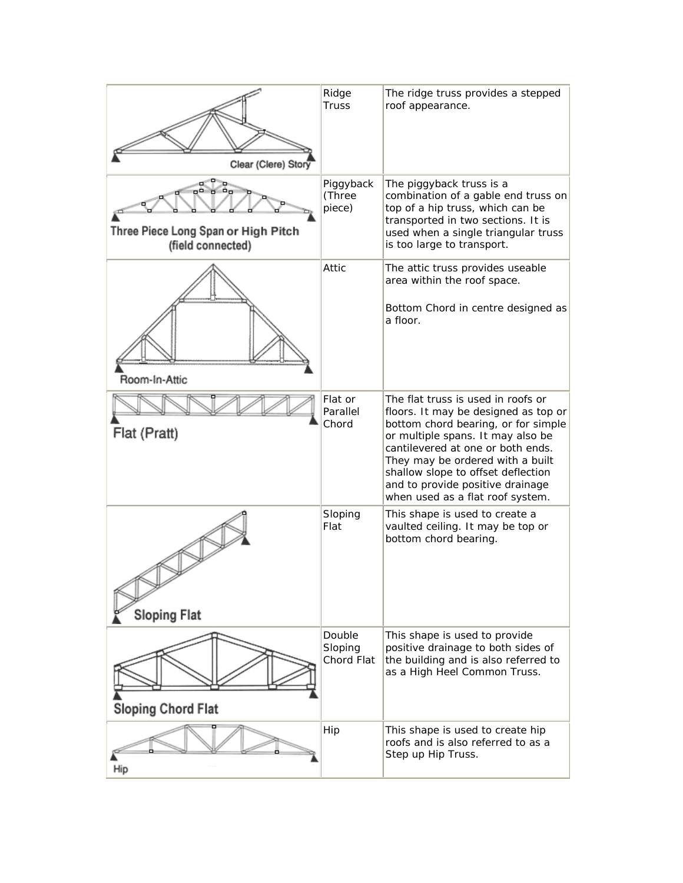| Clear (Clere) Story                                      | Ridge<br><b>Truss</b>           | The ridge truss provides a stepped<br>roof appearance.                                                                                                                                                                                                                                                                                        |
|----------------------------------------------------------|---------------------------------|-----------------------------------------------------------------------------------------------------------------------------------------------------------------------------------------------------------------------------------------------------------------------------------------------------------------------------------------------|
| Three Piece Long Span or High Pitch<br>(field connected) | Piggyback<br>(Three<br>piece)   | The piggyback truss is a<br>combination of a gable end truss on<br>top of a hip truss, which can be<br>transported in two sections. It is<br>used when a single triangular truss<br>is too large to transport.                                                                                                                                |
| Room-In-Attic                                            | Attic                           | The attic truss provides useable<br>area within the roof space.<br>Bottom Chord in centre designed as<br>a floor.                                                                                                                                                                                                                             |
| Flat (Pratt)                                             | Flat or<br>Parallel<br>Chord    | The flat truss is used in roofs or<br>floors. It may be designed as top or<br>bottom chord bearing, or for simple<br>or multiple spans. It may also be<br>cantilevered at one or both ends.<br>They may be ordered with a built<br>shallow slope to offset deflection<br>and to provide positive drainage<br>when used as a flat roof system. |
| <b>Sloping Flat</b>                                      | Sloping<br>Flat                 | This shape is used to create a<br>vaulted ceiling. It may be top or<br>bottom chord bearing.                                                                                                                                                                                                                                                  |
| <b>Sloping Chord Flat</b>                                | Double<br>Sloping<br>Chord Flat | This shape is used to provide<br>positive drainage to both sides of<br>the building and is also referred to<br>as a High Heel Common Truss.                                                                                                                                                                                                   |
| Hip                                                      | Hip                             | This shape is used to create hip<br>roofs and is also referred to as a<br>Step up Hip Truss.                                                                                                                                                                                                                                                  |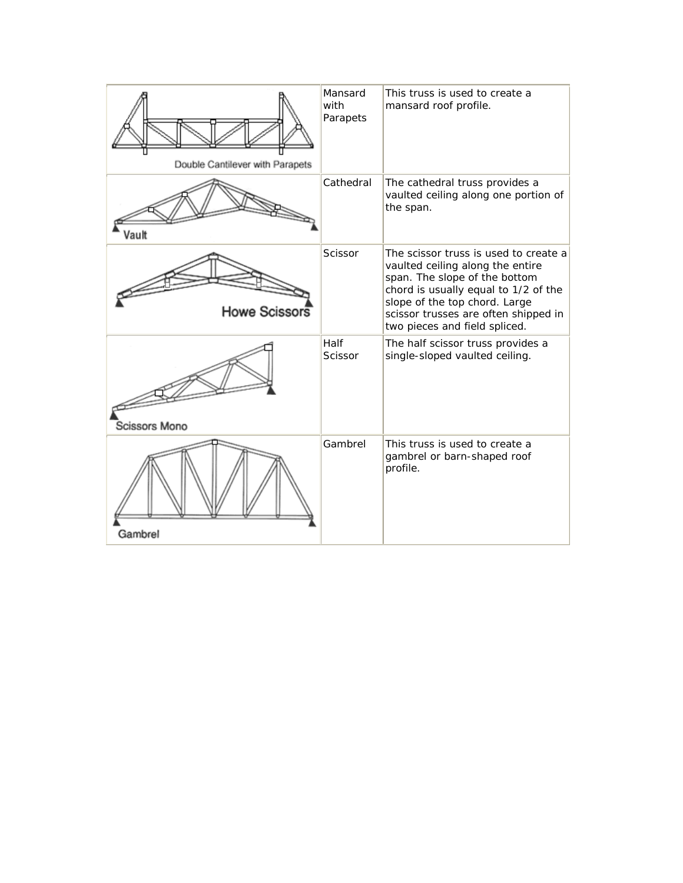| Double Cantilever with Parapets | Mansard<br>with<br>Parapets | This truss is used to create a<br>mansard roof profile.                                                                                                                                                                                                      |
|---------------------------------|-----------------------------|--------------------------------------------------------------------------------------------------------------------------------------------------------------------------------------------------------------------------------------------------------------|
| Vault                           | Cathedral                   | The cathedral truss provides a<br>vaulted ceiling along one portion of<br>the span.                                                                                                                                                                          |
| <b>Howe Scissors</b>            | Scissor                     | The scissor truss is used to create a<br>vaulted ceiling along the entire<br>span. The slope of the bottom<br>chord is usually equal to 1/2 of the<br>slope of the top chord. Large<br>scissor trusses are often shipped in<br>two pieces and field spliced. |
| Scissors Mono                   | Half<br>Scissor             | The half scissor truss provides a<br>single-sloped vaulted ceiling.                                                                                                                                                                                          |
| Gambrel                         | Gambrel                     | This truss is used to create a<br>gambrel or barn-shaped roof<br>profile.                                                                                                                                                                                    |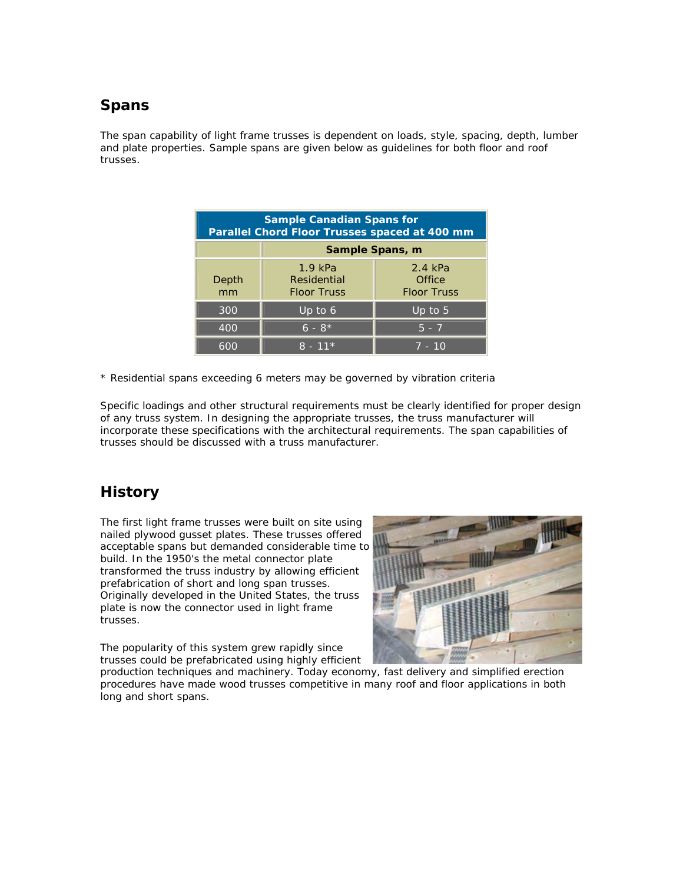#### **Spans**

The span capability of light frame trusses is dependent on loads, style, spacing, depth, lumber and plate properties. Sample spans are given below as guidelines for both floor and roof trusses.

| <b>Sample Canadian Spans for</b><br>Parallel Chord Floor Trusses spaced at 400 mm |                                                |                                         |  |  |
|-----------------------------------------------------------------------------------|------------------------------------------------|-----------------------------------------|--|--|
|                                                                                   | Sample Spans, m                                |                                         |  |  |
| Depth<br>mm                                                                       | $1.9$ kPa<br>Residential<br><b>Floor Truss</b> | 2.4 kPa<br>Office<br><b>Floor Truss</b> |  |  |
| 300                                                                               | Up to $6$                                      | Up to $5$                               |  |  |
| 400                                                                               | $\overline{6}$ - $8*$                          | $5 - 7$                                 |  |  |
| 600                                                                               | $8 - 11*$                                      | $7 - 10$                                |  |  |

\* Residential spans exceeding 6 meters may be governed by vibration criteria

Specific loadings and other structural requirements must be clearly identified for proper design of any truss system. In designing the appropriate trusses, the truss manufacturer will incorporate these specifications with the architectural requirements. The span capabilities of trusses should be discussed with a truss manufacturer.

### **History**

The first light frame trusses were built on site using nailed plywood gusset plates. These trusses offered acceptable spans but demanded considerable time to build. In the 1950's the metal connector plate transformed the truss industry by allowing efficient prefabrication of short and long span trusses. Originally developed in the United States, the truss plate is now the connector used in light frame trusses.

The popularity of this system grew rapidly since trusses could be prefabricated using highly efficient



production techniques and machinery. Today economy, fast delivery and simplified erection procedures have made wood trusses competitive in many roof and floor applications in both long and short spans.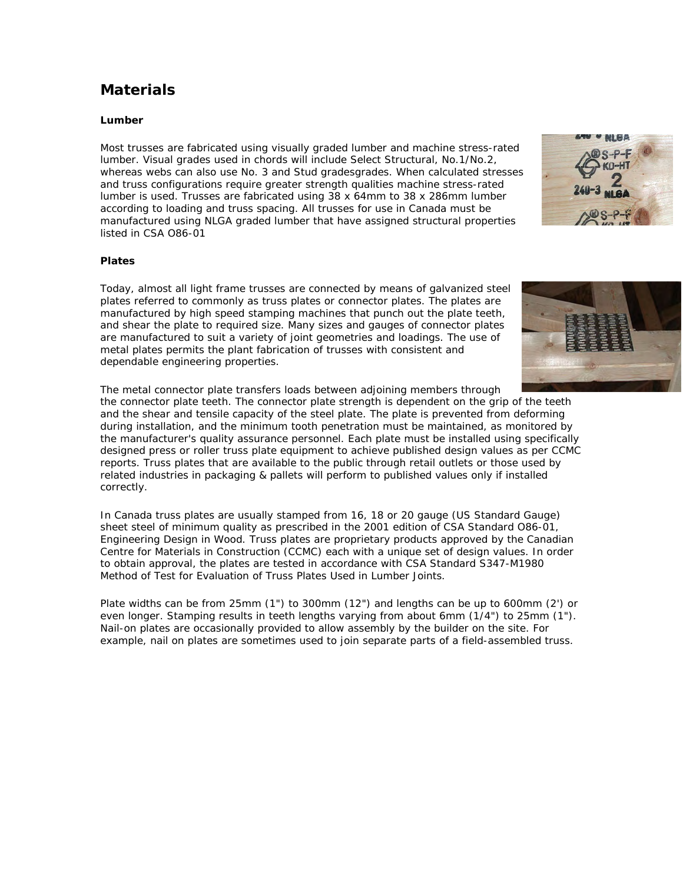#### **Materials**

#### **Lumber**

Most trusses are fabricated using visually graded lumber and machine stress-rated lumber. Visual grades used in chords will include Select Structural, No.1/No.2, whereas webs can also use No. 3 and Stud gradesgrades. When calculated stresses and truss configurations require greater strength qualities machine stress-rated lumber is used. Trusses are fabricated using 38 x 64mm to 38 x 286mm lumber according to loading and truss spacing. All trusses for use in Canada must be manufactured using NLGA graded lumber that have assigned structural properties listed in [CSA O86-01](https://secure.cwc.ca/cwc.ca/ecommerce/index.php?lnkProdID=7)

#### **Plates**

Today, almost all light frame trusses are connected by means of galvanized steel plates referred to commonly as truss plates or connector plates. The plates are manufactured by high speed stamping machines that punch out the plate teeth, and shear the plate to required size. Many sizes and gauges of connector plates are manufactured to suit a variety of joint geometries and loadings. The use of metal plates permits the plant fabrication of trusses with consistent and dependable engineering properties.

The metal connector plate transfers loads between adjoining members through

the connector plate teeth. The connector plate strength is dependent on the grip of the teeth and the shear and tensile capacity of the steel plate. The plate is prevented from deforming during installation, and the minimum tooth penetration must be maintained, as monitored by the manufacturer's quality assurance personnel. Each plate must be installed using specifically designed press or roller truss plate equipment to achieve published design values as per CCMC reports. Truss plates that are available to the public through retail outlets or those used by related industries in packaging & pallets will perform to published values only if installed correctly.

In Canada truss plates are usually stamped from 16, 18 or 20 gauge (US Standard Gauge) sheet steel of minimum quality as prescribed in the 2001 edition of [CSA Standard O86-01,](https://secure.cwc.ca/cwc.ca/ecommerce/index.php?lnkProdID=7) *Engineering Design in Wood*. Truss plates are proprietary products approved by the [Canadian](http://irc.nrc-cnrc.gc.ca/ccmc/home_e.shtml)  [Centre for Materials in Construction](http://irc.nrc-cnrc.gc.ca/ccmc/home_e.shtml) (CCMC) each with a unique set of design values. In order to obtain approval, the plates are tested in accordance with CSA Standard S347-M1980 *[Method of Test for Evaluation of Truss Plates Used in Lumber Joints](http://www.csa-intl.org/onlinestore/GetCatalogItemDetails.asp?mat=000000000002412104)*.

Plate widths can be from 25mm (1") to 300mm (12") and lengths can be up to 600mm (2') or even longer. Stamping results in teeth lengths varying from about 6mm (1/4") to 25mm (1"). Nail-on plates are occasionally provided to allow assembly by the builder on the site. For example, nail on plates are sometimes used to join separate parts of a field-assembled truss.



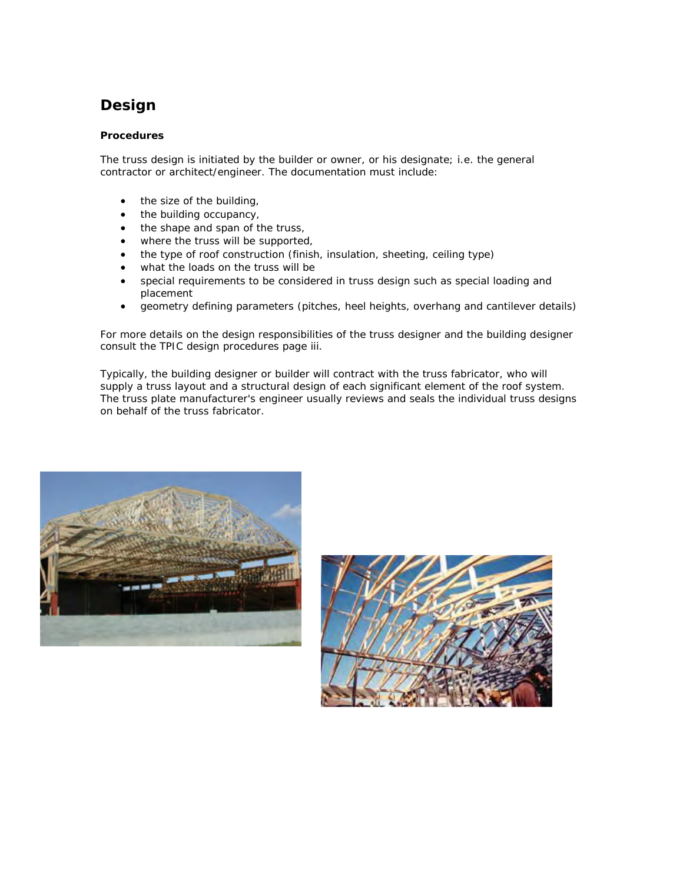# **Design**

#### **Procedures**

The truss design is initiated by the builder or owner, or his designate; i.e. the general contractor or architect/engineer. The documentation must include:

- the size of the building,
- the building occupancy,
- the shape and span of the truss,
- where the truss will be supported,
- the type of roof construction (finish, insulation, sheeting, ceiling type)
- what the loads on the truss will be
- special requirements to be considered in truss design such as special loading and placement
- geometry defining parameters (pitches, heel heights, overhang and cantilever details)

For more details on the design responsibilities of the truss designer and the building designer consult the [TPIC design procedures page iii.](http://www.tpic.ca/tpic96/00introduction.pdf)

Typically, the building designer or builder will contract with the truss fabricator, who will supply a truss layout and a structural design of each significant element of the roof system. The truss plate manufacturer's engineer usually reviews and seals the individual truss designs on behalf of the truss fabricator.



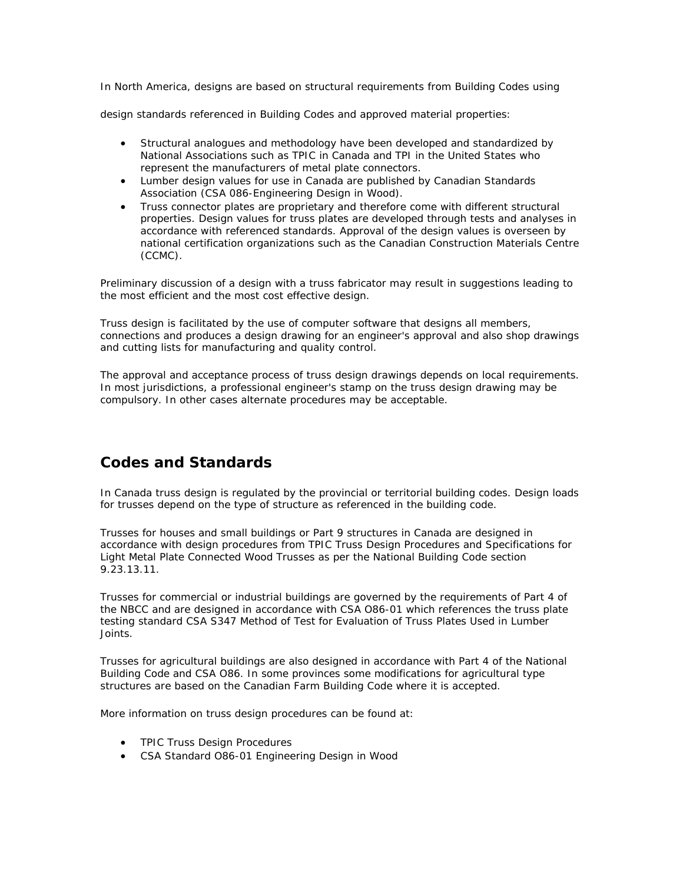In North America, designs are based on structural requirements from Building Codes using

design standards referenced in Building Codes and approved material properties:

- Structural analogues and methodology have been developed and standardized by National Associations such as [TPIC](http://www.tpic.ca/) in Canada and [TPI](http://www.tpinst.org/) in the United States who represent the manufacturers of metal plate connectors.
- Lumber design values for use in Canada are published by Canadian Standards Association [\(CSA 086-Engineering Design in Wood](https://secure.cwc.ca/cwc.ca/ecommerce/index.php?lnkProdID=7)).
- Truss connector plates are proprietary and therefore come with different structural properties. Design values for truss plates are developed through tests and analyses in accordance with referenced standards. Approval of the design values is overseen by national certification organizations such as the [Canadian Construction Materials Centre](http://irc.nrc-cnrc.gc.ca/ccmc/home_e.shtml)  [\(CCMC\).](http://irc.nrc-cnrc.gc.ca/ccmc/home_e.shtml)

Preliminary discussion of a design with a truss fabricator may result in suggestions leading to the most efficient and the most cost effective design.

Truss design is facilitated by the use of computer software that designs all members, connections and produces a design drawing for an engineer's approval and also shop drawings and cutting lists for manufacturing and quality control.

The approval and acceptance process of truss design drawings depends on local requirements. In most jurisdictions, a professional engineer's stamp on the truss design drawing may be compulsory. In other cases alternate procedures may be acceptable.

#### **Codes and Standards**

In Canada truss design is regulated by the provincial or territorial [building codes](http://www.cwc.ca/design/codes/index.php). Design loads for trusses depend on the type of structure as referenced in the building code.

Trusses for houses and small buildings or Part 9 structures in Canada are designed in accordance with design procedures from [TPIC Truss Design Procedures and Specifications for](http://www.tpic.ca/tpic96/index.html)  [Light Metal Plate Connected Wood Trusses](http://www.tpic.ca/tpic96/index.html) as per the National Building Code section 9.23.13.11.

Trusses for commercial or industrial buildings are governed by the requirements of Part 4 of the [NBCC](http://irc.nrc-cnrc.gc.ca/catalogue/nbc1.html) and are designed in accordance with [CSA O86-01](https://secure.cwc.ca/cwc.ca/ecommerce/index.php?lnkProdID=7) which references the truss plate testing standard [CSA S347 Method of Test for Evaluation of Truss Plates Used in Lumber](http://www.csa-intl.org/onlinestore/GetCatalogItemDetails.asp?mat=000000000002412104)  [Joints.](http://www.csa-intl.org/onlinestore/GetCatalogItemDetails.asp?mat=000000000002412104)

Trusses for agricultural buildings are also designed in accordance with Part 4 of the National Building Code and [CSA O86](https://secure.cwc.ca/cwc.ca/ecommerce/index.php?lnkProdID=7). In some provinces some modifications for agricultural type structures are based on the [Canadian Farm Building Code](http://irc.nrc-cnrc.gc.ca/catalogue/farm.html) where it is accepted.

More information on truss design procedures can be found at:

- TPIC Truss Design Procedures
- [CSA Standard O86-01 Engineering Design in Wood](https://secure.cwc.ca/cwc.ca/ecommerce/index.php?lnkProdID=7)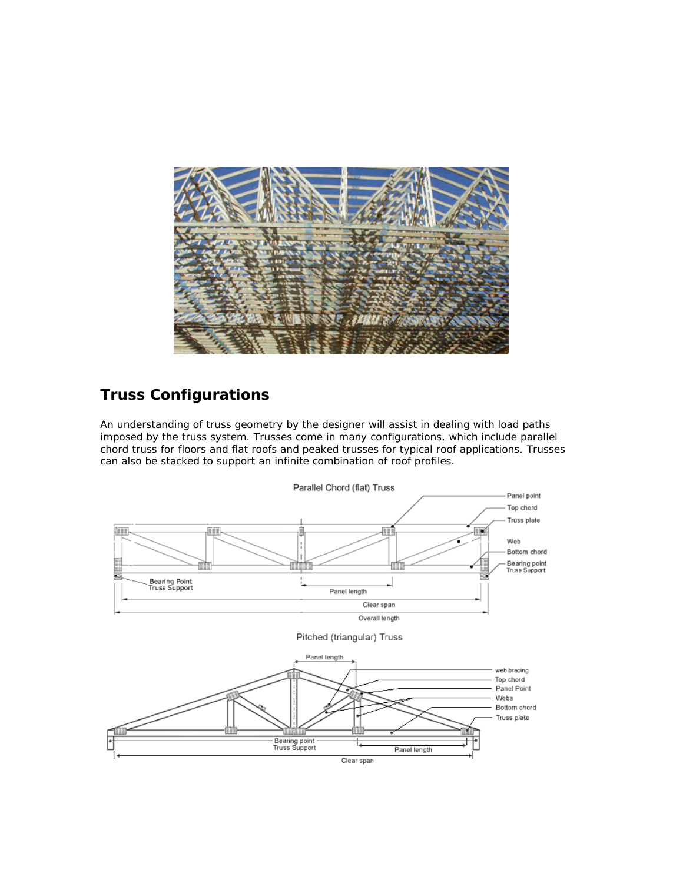

### **Truss Configurations**

An understanding of truss geometry by the designer will assist in dealing with load paths imposed by the truss system. Trusses come in many configurations, which include parallel chord truss for floors and flat roofs and peaked trusses for typical roof applications. Trusses can also be stacked to support an infinite combination of roof profiles.

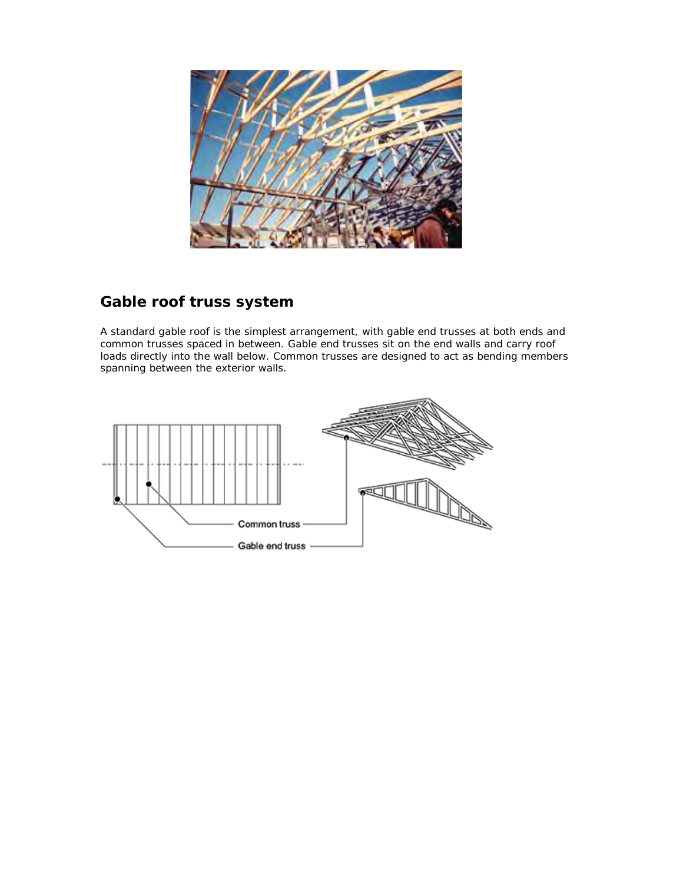

### **Gable roof truss system**

A standard gable roof is the simplest arrangement, with gable end trusses at both ends and common trusses spaced in between. Gable end trusses sit on the end walls and carry roof loads directly into the wall below. Common trusses are designed to act as bending members spanning between the exterior walls.

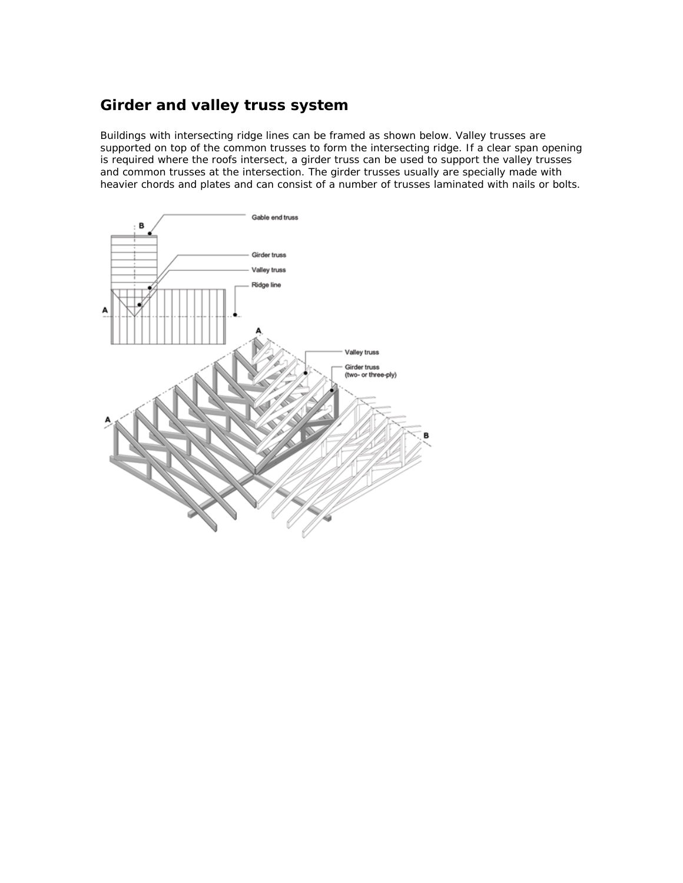### **Girder and valley truss system**

Buildings with intersecting ridge lines can be framed as shown below. Valley trusses are supported on top of the common trusses to form the intersecting ridge. If a clear span opening is required where the roofs intersect, a girder truss can be used to support the valley trusses and common trusses at the intersection. The girder trusses usually are specially made with heavier chords and plates and can consist of a number of trusses laminated with nails or bolts.

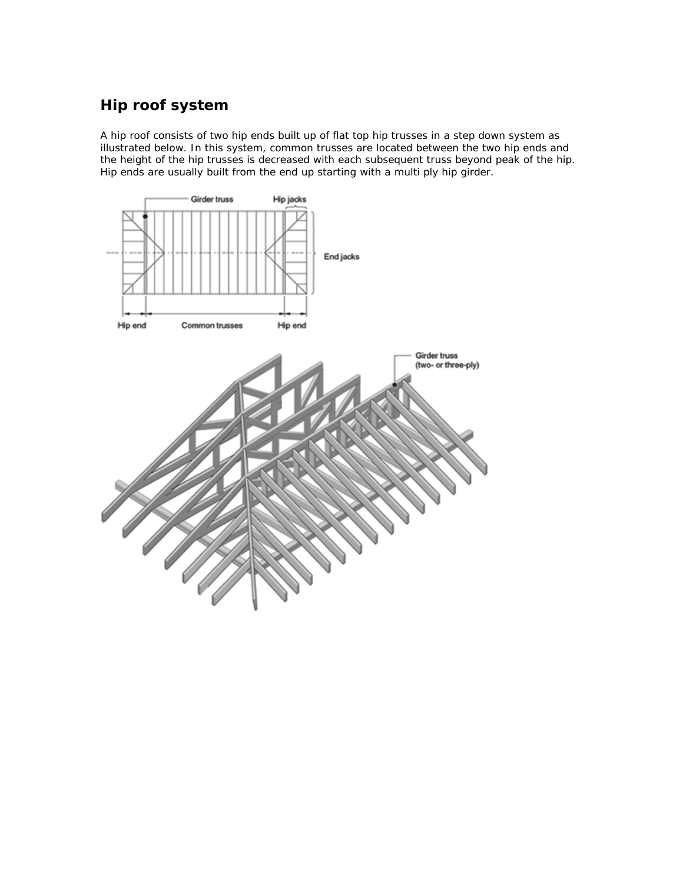# **Hip roof system**

A hip roof consists of two hip ends built up of flat top hip trusses in a step down system as illustrated below. In this system, common trusses are located between the two hip ends and the height of the hip trusses is decreased with each subsequent truss beyond peak of the hip. Hip ends are usually built from the end up starting with a multi ply hip girder.

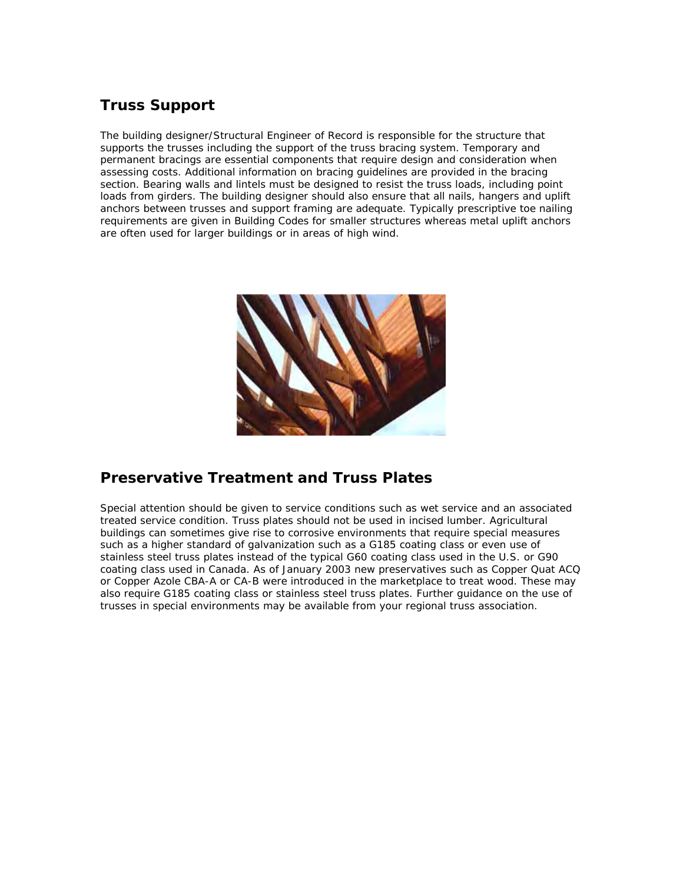### **Truss Support**

The building designer/Structural Engineer of Record is responsible for the structure that supports the trusses including the support of the truss bracing system. Temporary and permanent bracings are essential components that require design and consideration when assessing costs. Additional information on bracing guidelines are provided in the bracing section. Bearing walls and lintels must be designed to resist the truss loads, including point loads from girders. The building designer should also ensure that all nails, hangers and uplift anchors between trusses and support framing are adequate. Typically prescriptive toe nailing requirements are given in Building Codes for smaller structures whereas metal uplift anchors are often used for larger buildings or in areas of high wind.



#### **Preservative Treatment and Truss Plates**

Special attention should be given to service conditions such as wet service and an associated treated service condition. Truss plates should not be used in incised lumber. Agricultural buildings can sometimes give rise to corrosive environments that require special measures such as a higher standard of galvanization such as a G185 coating class or even use of stainless steel truss plates instead of the typical G60 coating class used in the U.S. or G90 coating class used in Canada. As of January 2003 new preservatives such as Copper Quat ACQ or Copper Azole CBA-A or CA-B were introduced in the marketplace to treat wood. These may also require G185 coating class or stainless steel truss plates. Further guidance on the use of trusses in special environments may be available from your regional truss association.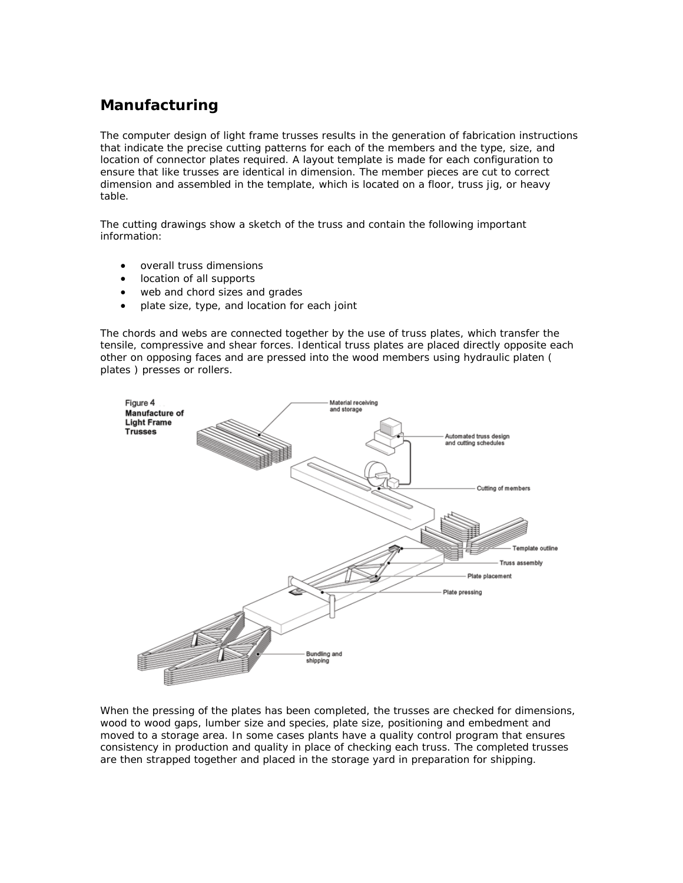### **Manufacturing**

The computer design of light frame trusses results in the generation of fabrication instructions that indicate the precise cutting patterns for each of the members and the type, size, and location of connector plates required. A layout template is made for each configuration to ensure that like trusses are identical in dimension. The member pieces are cut to correct dimension and assembled in the template, which is located on a floor, truss jig, or heavy table.

The cutting drawings show a sketch of the truss and contain the following important information:

- overall truss dimensions
- location of all supports
- web and chord sizes and grades
- plate size, type, and location for each joint

The chords and webs are connected together by the use of [truss plates,](http://www.cwc.ca/products/trusses/materials.php#plates) which transfer the tensile, compressive and shear forces. Identical truss plates are placed directly opposite each other on opposing faces and are pressed into the wood members using hydraulic platen ( plates ) presses or rollers.



When the pressing of the plates has been completed, the trusses are checked for dimensions, wood to wood gaps, lumber size and species, plate size, positioning and embedment and moved to a storage area. In some cases plants have a quality control program that ensures consistency in production and quality in place of checking each truss. The completed trusses are then strapped together and placed in the storage yard in preparation for shipping.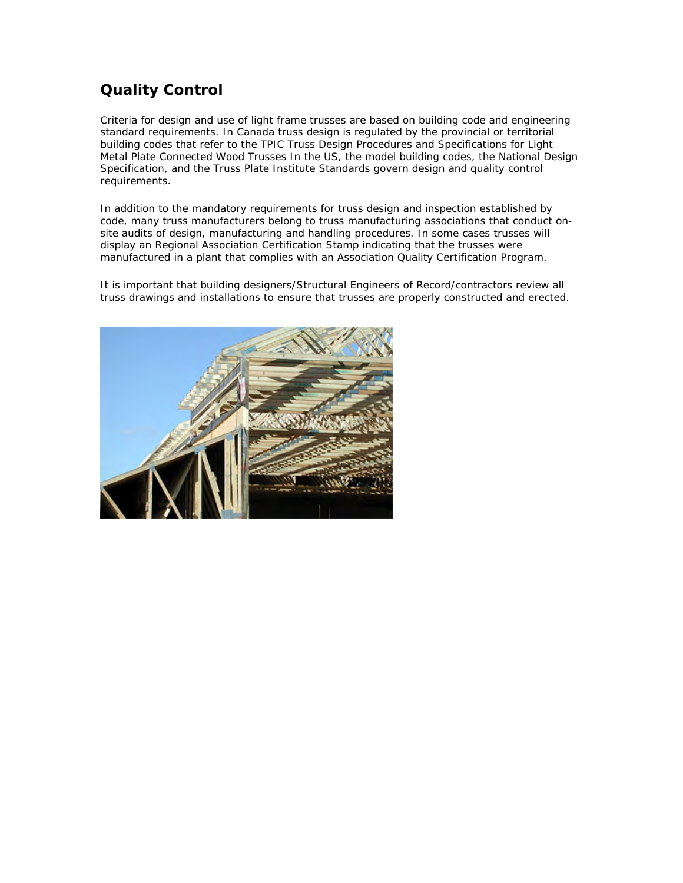### **Quality Control**

Criteria for design and use of light frame trusses are based on building code and engineering standard requirements. In Canada truss design is regulated by the provincial or territorial building codes that refer to the TPIC Truss Design Procedures and Specifications for Light Metal Plate Connected Wood Trusses In the US, the model building codes, the National Design Specification, and the Truss Plate Institute Standards govern design and quality control requirements.

In addition to the mandatory requirements for truss design and inspection established by code, many truss manufacturers belong to truss manufacturing associations that conduct onsite audits of design, manufacturing and handling procedures. In some cases trusses will display an Regional Association Certification Stamp indicating that the trusses were manufactured in a plant that complies with an Association Quality Certification Program.

It is important that building designers/Structural Engineers of Record/contractors review all truss drawings and installations to ensure that trusses are properly constructed and erected.

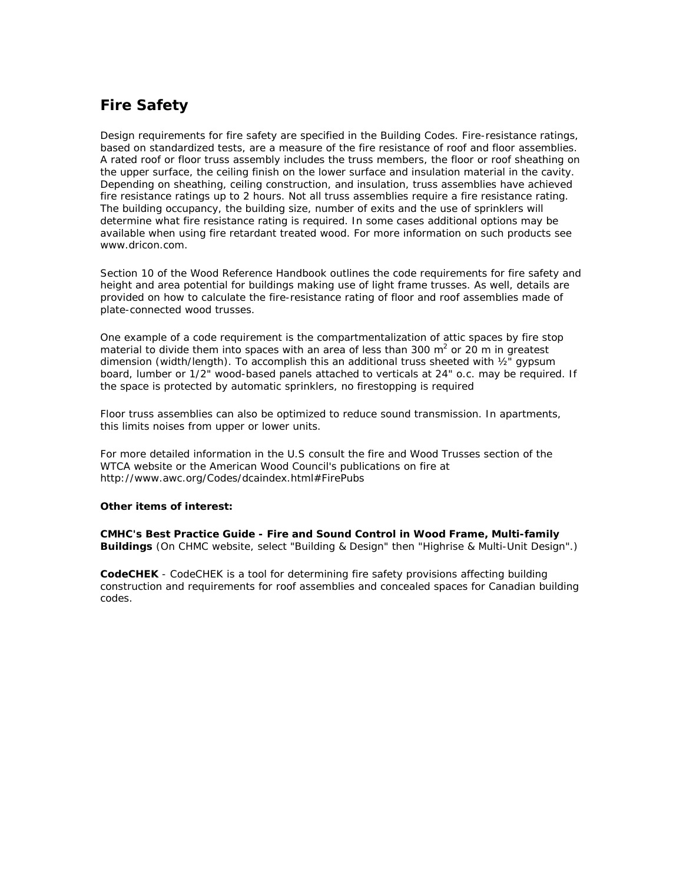### **Fire Safety**

Design requirements for fire safety are specified in the Building Codes. Fire-resistance ratings, based on standardized tests, are a measure of the fire resistance of roof and floor assemblies. A rated roof or floor truss assembly includes the truss members, the floor or roof sheathing on the upper surface, the ceiling finish on the lower surface and insulation material in the cavity. Depending on sheathing, ceiling construction, and insulation, truss assemblies have achieved fire resistance ratings up to 2 hours. Not all truss assemblies require a fire resistance rating. The building occupancy, the building size, number of exits and the use of sprinklers will determine what fire resistance rating is required. In some cases additional options may be available when using fire retardant treated wood. For more information on such products see [www.dricon.com](http://www.dricon.com/).

Section 10 of the [Wood Reference Handbook](https://secure.cwc.ca/cwc.ca/ecommerce/index.php?lnkProdID=14) outlines the code requirements for fire safety and height and area potential for buildings making use of light frame trusses. As well, details are provided on how to calculate the fire-resistance rating of floor and roof assemblies made of plate-connected wood trusses.

One example of a code requirement is the compartmentalization of attic spaces by fire stop material to divide them into spaces with an area of less than 300 m<sup>2</sup> or 20 m in greatest dimension (width/length). To accomplish this an additional truss sheeted with  $\frac{1}{2}$ " gypsum board, lumber or 1/2" wood-based panels attached to verticals at 24" o.c. may be required. If the space is protected by automatic sprinklers, no firestopping is required

Floor truss assemblies can also be optimized to reduce sound transmission. In apartments, this limits noises from upper or lower units.

For more detailed information in the U.S consult the [fire and Wood Trusses](http://www.woodtruss.com/projects/woodtruss/fire.php) section of the WTCA website or the American Wood Council's publications on fire at <http://www.awc.org/Codes/dcaindex.html#FirePubs>

#### **Other items of interest:**

**CMHC's Best Practice Guide -** *[Fire and Sound Control in Wood Frame, Multi-family](https://www.cmhc-schl.gc.ca:50104/b2c/b2c/init.do?language=en)  [Buildings](https://www.cmhc-schl.gc.ca:50104/b2c/b2c/init.do?language=en)* (On CHMC website, select "Building & Design" then "Highrise & Multi-Unit Design".)

**[CodeCHEK](http://www.cwc.ca/design/tools/calcs/codechek/)** - CodeCHEK is a tool for determining fire safety provisions affecting building construction and requirements for roof assemblies and concealed spaces for Canadian building codes.